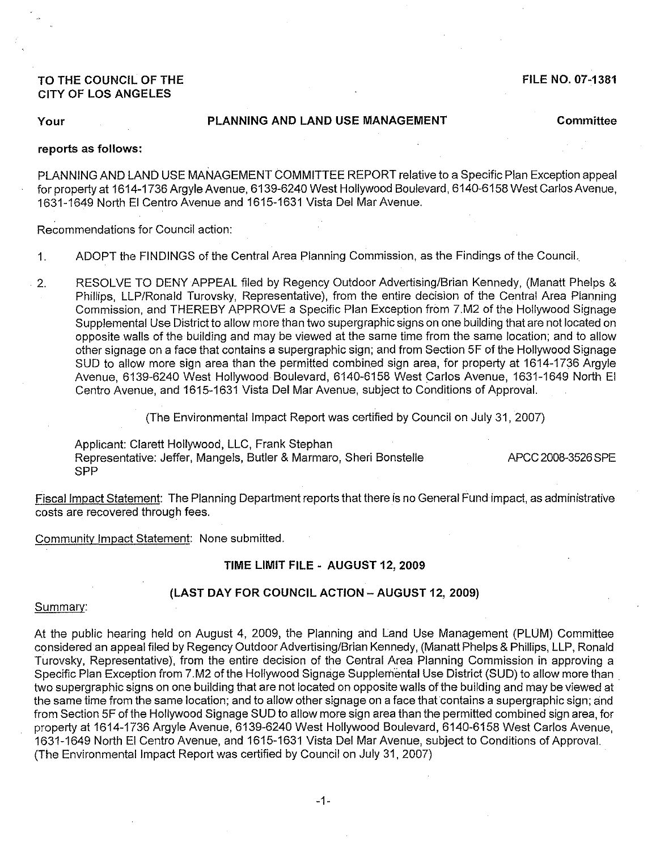# **TO THE COUNCIL OF THE CITY OF LOS ANGELES**

**FILE NO. 07-1381**

# **Your PLANNING AND LAND USE MANAGEMENT Committee**

#### **reports as follows:**

PLANNING AND LAND USE MANAGEMENT COMMITTEE REPORT relative to a Specific Plan Exception appeal for property at 1614-1736 Argyle Avenue, 6139-6240 West Hollywood Boulevard, 6140-6158 West Carlos Avenue, 1631-1649 North EI Centro Avenue and 1615-1631 Vista Del Mar Avenue.

Recommendations for Council action:

- 1. ADOPT the FINDINGS of the Central Area Planning Commission, as the Findings of the Council.
- 2. RESOLVE TO DENY APPEAL filed by Regency Outdoor Advertising/Brian Kennedy, (Manatt Phelps & Phillips, LLP/Ronald Turovsky, Representative), from the entire decision of the Central Area Planning Commission, and THEREBY APPROVE a Specific Plan Exception from 7.M2 of the Hollywood Signage Supplemental Use District to allow more than two supergraphic signs on one building that are not located on opposite walls of the building and may be viewed at the same time from the same location; and to allow other signage on a face that contains a supergraphic sign; and from Section 5F of the Hollywood Signage SUD to allow more sign area than the permitted combined sign area, for property at 1614-1736 Argyle Avenue, 6139-6240 West Hollywood Boulevard, 6140-6158 West Carlos Avenue, 1631-1649 North EI Centro Avenue, and 1615-1631 Vista Del Mar Avenue, subject to Conditions of Approval.

(The Environmental Impact Report was certified by Council on July 31, 2007)

Applicant: Clarett Hollywood, LLC, Frank Stephan Representative: Jeffer, Mangels, Butler & Marmaro, Sheri Bonstelle SPP

APCC 2008-3526 SPE

Fiscal Impact Statement: The Planning Department reports that there is no General Fund impact, as administrative costs are recovered through fees.

Community Impact Statement: None submitted.

#### **TIME LIMIT FILE - AUGUST 12, 2009**

## **(LAST DAY FOR COUNCIL ACTION - AUGUST 12,2009)**

#### Summary:

At the public hearing held on August 4, 2009, the Planning and Land Use Management (PLUM) Committee considered an appeal filed by Regency Outdoor Advertising/Brian Kennedy, (Manatt Phelps & Phillips, LLP, Ronald Turovsky, Representative), from the entire decision of the Central Area Planning Commission in approving a Specific Plan Exception from 7.M2 of the Hollywood Signage Supplemental Use District (SUD) to allow more than two supergraphic signs on one building that are not located on opposite walls of the building and may be viewed at the same time from the same location; and to allow other signage on a face that contains a supergraphic sign; and from Section 5F of the Hollywood Signage SUD to allow more sign area than the permitted combined sign area, for property at 1614-1736 Argyle Avenue, 6139-6240 West Hollywood Boulevard, 6140-6158 West Carlos Avenue, 1631-1649 North EI Centro Avenue, and 1615-1631 Vista Del Mar Avenue, subject to Conditions of Approval. (The Environmental Impact Report was certified by Council on July 31, 2007)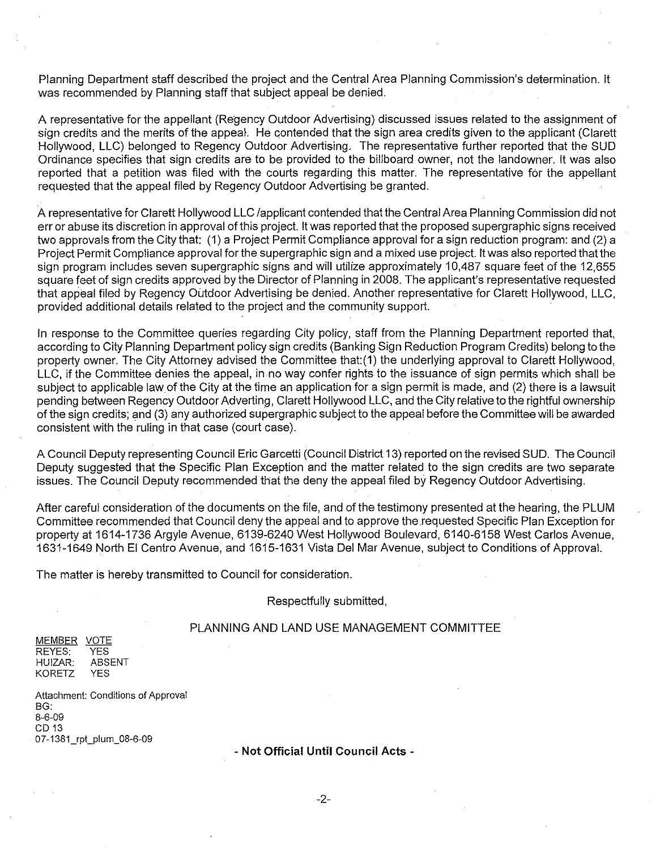Planning Department staff described the project and the Central Area Planning Commission's determination. It was recommended by Planning staff that subject appeal be denied.

A representative for the appellant (Reqency Outdoor Advertising) discussed issues related to the assignment of sign credits and the merits of the appeal. He contended that the sign area credits given to the applicant (Clarett Hollywood, LLC) belonged to Regency Outdoor Advertising. The representative further reported that the SUD Ordinance specifies that sign credits are to be provided to the billboard owner, not the landowner. It was also reported that a petition was filed with the courts regarding this matter. The representative for the appellant requested that the appeal filed by Regency Outdoor Advertising be granted.

A representative for Clarett Hollywood LLC /applicant contended that the Central Area Planning Commission did not err or abuse its discretion in approval of this project. It was reported that the proposed supergraphic signs received two approvals from the City that: (1) a Project Permit Compliance approval for a sign reduction program: and (2) a Project Permit Compliance approval for the supergraphic sign and a mixed use project. It was also reported that the sign program includes seven supergraphic signs and will utilize approximately 10,487 square feet of the 12,655 square feet of sign credits approved by the Director of Planning in 2008. The applicant's representative requested that appeal filed by Regency Outdoor Advertising be denied. Another representative for Clarett Hollywood, LLC, provided additional details related to the project and the community support.

In response to the Committee queries regarding City policy, staff from the Planning Department reported that, according to City Planning Department policy sign credits (Banking Sign Reduction Program Credits) belong to the property owner. The City Attorney advised the Committee that:(1) the underlying approval to Clarett Hollywood, LLC, if the Committee denies the appeal, in no way confer rights to the issuance of sign permits which shall be subject to applicable law of the City at the time an application for a sign permit is made, and (2) there is a lawsuit pending between Regency Outdoor Adverting, Clarett Hollywood LLC, and the City relative to the rightful ownership of the sign credits; and (3) any authorized supergraphic subject to the appeal before the Committee will be awarded consistent with the ruling in that case (court case).

A Council Deputy representing Council Eric Garcetti (Council District 13) reported on the revised SUD. The Council Deputy suggested that the Specific Plan Exception and the matter related to the sign credits are two separate issues. The Council Deputy recommended that the deny the appeal filed by Regency Outdoor Advertising.

After careful consideration of the documents on the file, and of the testimony presented at the hearing, the PLUM Committee recommended that Council deny the appeal and to approve the requested Specific Plan Exception for property at 1614-1736 Argyle Avenue, 6139~6240 West Hollywood Boulevard, 6140-6158 West Carlos Avenue, 1631-1649 North EI Centro Avenue, and 1615-1631 Vista Del Mar Avenue, subject to Conditions of Approval.

The matter is hereby transmitted to Council for consideration.

### Respectfully submitted,

# PLANNING AND LAND USE MANAGEMENT COMMITTEE

MEMBER VOTE REYES: HUIZAR: KORETZ YES ABSENT YES

Attachment: Conditions of Approval BG: 8-6-09 CD13 07-1381\_rpt\_plum 08-6-09

### - Not Official **Until** Council **Acts -**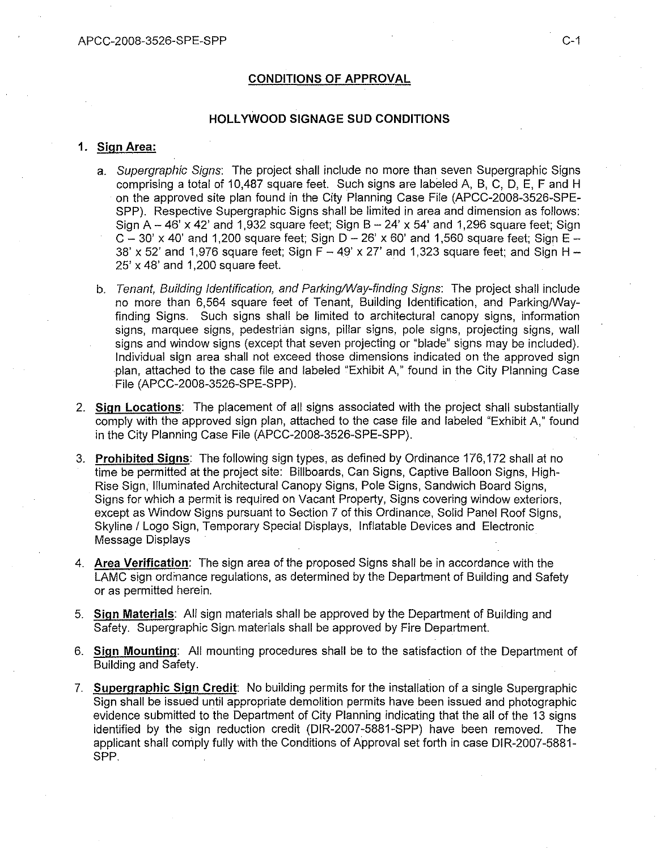# **CONDITIONS OF APPROVAL**

#### **HOllYWOOD SIGNAGE SUD CONDITIONS**

#### **1. Sign Area:**

- a. *Supergraphic Signs:* The project shall include no more than seven Supergraphic Signs comprising a total of 10,487 square *feet.* Such signs are labeled A, B, C, D, E, F and H on the approved site plan found in the City Planning Case File (APCC-2008-3526-SPE-SPP). Respective Supergraphic Signs shall be limited in area and dimension as follows: Sign  $A - 46' \times 42'$  and 1,932 square feet; Sign  $B - 24' \times 54'$  and 1,296 square feet; Sign  $C - 30'$  x 40' and 1,200 square feet; Sign  $D - 26'$  x 60' and 1,560 square feet; Sign  $E -$ 38' x 52' and 1,976 square feet; Sign  $F - 49'$  x 27' and 1,323 square feet; and Sign H -25' x 48' and 1,200 square feet.
- b. *Tenant, Building Identification, and Parking/Way-finding Signs:* The project shall include no more than 6,564 square feet of Tenant, Building Identification, and Parking/Wayfinding Signs. Such signs shall be limited to architectural canopy signs, information signs, marquee signs, pedestrian signs, pillar signs, pole signs, projecting signs, wall signs and window signs (except that seven projecting or "blade" signs may be included). Individual sign area shall not exceed those dimensions indicated on the approved sign plan, attached to the case file and labeled "Exhibit A," found in the City Planning Case File (APCC-2008-3526-SPE-SPP).
- 2. **Sign locations:** The placement of all signs associated with the project shall substantially comply with the approved sign plan, attached to the case file and labeled "Exhibit A," found in the City Planning Case File (APCC-2008-3526-SPE-SPP).
- 3. **Prohibited Signs:** The following sign types, as defined by Ordinance 176,172 shall at no time be permitted at the project site: Billboards, Can Signs, Captive Balloon Signs, High-Rise Sign, Illuminated Architectural Canopy Signs, Pole Signs, Sandwich Board Signs, Signs for which a permit is required on Vacant Property, Signs covering window exteriors, except as Window Signs pursuant to Section 7 of this Ordinance, Solid Panel Roof Signs, Skyline *f* Logo Sign, Temporary Special Displays, Inflatable Devices and Electronic Message Displays
- 4. **Area Verification:** The sign area of the proposed Signs shall be in accordance with the LAMC sign ordinance regulations, as determined by the Department of Building and Safety or as permitted herein.
- 5. **Sign Materials:** All sign materials shall be approved by the Department of Building and Safety. Supergraphic Sign materials shall be approved by Fire Department.
- 6. **Sign Mounting:** All mounting procedures shall be to the satisfaction of the Department of Building and Safety.
- 7. **Supergraphic Sign Credit:** No building permits for the installation of a single Supergraphic Sign shall be issued until appropriate demolition permits have been issued and photographic evidence submitted to the Department of City Planning indicating that the all of the 13 signs identified by the sign reduction credit (DIR-2007-5881-SPP) have been removed. The applicant shall comply fully with the Conditions of Approval set forth in case DIR-2007-5881- SPP.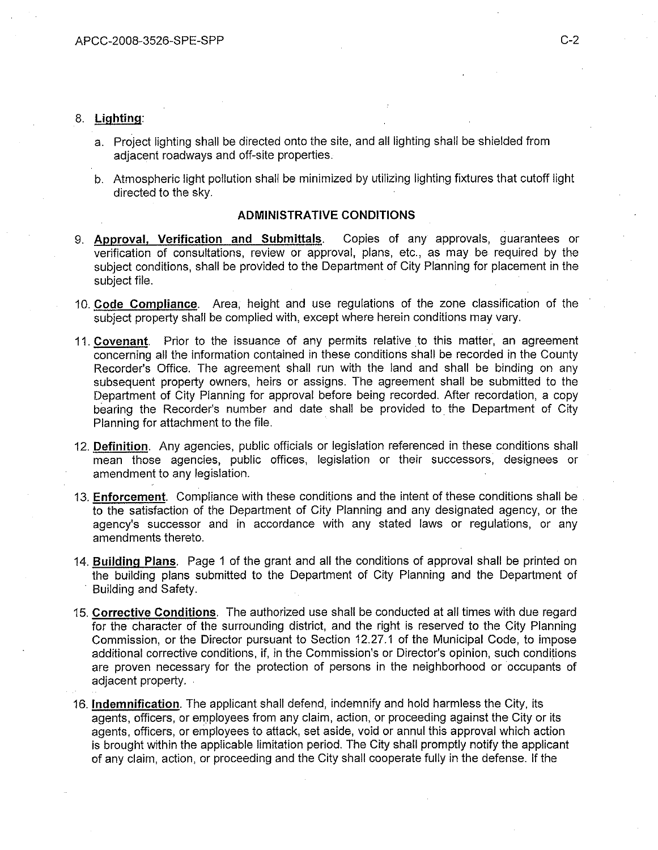### 8. **Lighting:**

- a. Project lighting shall be directed onto the site, and all lighting shall be shielded from adjacent roadways and off-site properties.
- b. Atmospheric light pollution shall be minimized by utilizing lighting fixtures that cutoff light directed to the sky.

### **ADMINISTRATIVE CONDITIONS**

- 9. **Approval, Verification and Submittals.** Copies of any approvals, guarantees or verification of consultations, review or approval, plans, etc., as may be required by the subject conditions, shall be provided to the Department of City Planning for placement in the subject file.
- 10. **Code Compliance.** Area, height and use regulations of the zone classification of the subject property shall be complied with, except where herein conditions may vary.
- 11. **Covenant.** Prior to the issuance of any permits relative to this matter, an agreement concerning all the information contained in these conditions shall be recorded in the County Recorder's Office. The agreement shall run with the land and shall be binding on any subsequent property owners, heirs or assigns. The agreement shall be submitted to the Department of City Planning for approval before being recorded. After recordation, a copy bearing the Recorder's number and date shall be provided to the Department of City Planning for attachment to the file.
- 12. **Definition.** Any agencies, public officials or legislation referenced in these conditions shall mean those agencies, public offices, legislation or their successors, designees or amendment to any legislation.
- 13. **Enforcement.** Compliance with these conditions and the intent of these conditions shall be to the satisfaction of the Department of City Planning and any designated agency, or the agency's successor and in accordance with any stated laws or regulations, or any amendments thereto.
- 14. **Building Plans.** Page 1 of the grant and all the conditions of approval shall be printed on the building plans submitted to the Department of City Planning and the Department of . Building and Safety.
- 15. **Corrective Conditions.** The authorized use shall be conducted at all times with due regard for the character of the surrounding district, and the right is reserved to the City Planning Commission, **or** the Director pursuant to Section 12.27.1 of the Municipal Code, to impose additional corrective conditions, if, in the Commission's or Director's opinion, such conditions are proven necessary for the protection of persons in the neighborhood or occupants of adjacent property.
- 16. **Indemnification.** The applicant shall defend, indemnify and hold harmless the City, its agents, officers, or employees from any claim, action, or proceeding against the City or its agents, officers, or employees to attack, set aside, void or annul this approval which action is brought within the applicable limitation period. The City shall promptly notify the applicant of any claim, action, or proceeding and the City shall cooperate fully in the defense. If the